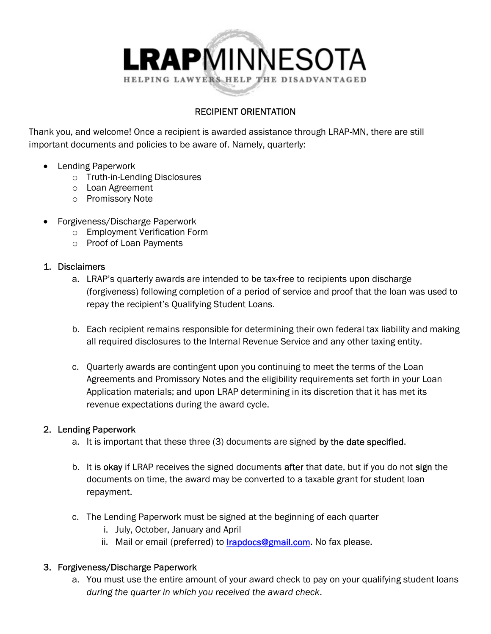# **LRAPMINNESOTA** HELPING LAWYERS HELP THE DISADVANTAGED

## RECIPIENT ORIENTATION

Thank you, and welcome! Once a recipient is awarded assistance through LRAP-MN, there are still important documents and policies to be aware of. Namely, quarterly:

- Lending Paperwork
	- o Truth-in-Lending Disclosures
	- o Loan Agreement
	- o Promissory Note
- Forgiveness/Discharge Paperwork
	- o Employment Verification Form
	- o Proof of Loan Payments

#### 1. Disclaimers

- a. LRAP's quarterly awards are intended to be tax-free to recipients upon discharge (forgiveness) following completion of a period of service and proof that the loan was used to repay the recipient's Qualifying Student Loans.
- b. Each recipient remains responsible for determining their own federal tax liability and making all required disclosures to the Internal Revenue Service and any other taxing entity.
- c. Quarterly awards are contingent upon you continuing to meet the terms of the Loan Agreements and Promissory Notes and the eligibility requirements set forth in your Loan Application materials; and upon LRAP determining in its discretion that it has met its revenue expectations during the award cycle.

### 2. Lending Paperwork

- a. It is important that these three (3) documents are signed by the date specified.
- b. It is okay if LRAP receives the signed documents after that date, but if you do not sign the documents on time, the award may be converted to a taxable grant for student loan repayment.
- c. The Lending Paperwork must be signed at the beginning of each quarter
	- i. July, October, January and April
	- ii. Mail or email (preferred) to **rapdocs@gmail.com**. No fax please.

#### 3. Forgiveness/Discharge Paperwork

a. You must use the entire amount of your award check to pay on your qualifying student loans during the quarter in which you received the award check.